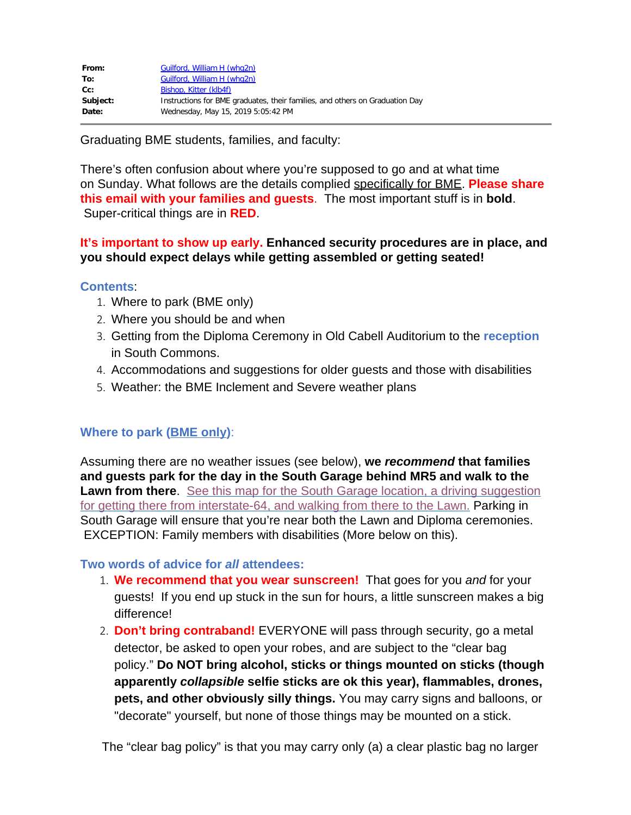| Guilford, William H (whg2n)                                                  |
|------------------------------------------------------------------------------|
| Guilford, William H (whq2n)                                                  |
| Bishop, Kitter (klb4f)                                                       |
| Instructions for BME graduates, their families, and others on Graduation Day |
| Wednesday, May 15, 2019 5:05:42 PM                                           |
|                                                                              |

Graduating BME students, families, and faculty:

There's often confusion about where you're supposed to go and at what time on Sunday. What follows are the details complied specifically for BME. **Please share this email with your families and guests**. The most important stuff is in **bold**. Super-critical things are in **RED**.

## **It's important to show up early. Enhanced security procedures are in place, and you should expect delays while getting assembled or getting seated!**

### **Contents**:

- 1. Where to park (BME only)
- 2. Where you should be and when
- 3. Getting from the Diploma Ceremony in Old Cabell Auditorium to the **reception** in South Commons.
- 4. Accommodations and suggestions for older guests and those with disabilities
- 5. Weather: the BME Inclement and Severe weather plans

# **Where to park (BME only)**:

Assuming there are no weather issues (see below), **we** *recommend* **that families and guests park for the day in the South Garage behind MR5 and walk to the Lawn from there.** [See this map for the South Garage location, a driving suggestion](https://drive.google.com/open?id=1mKlvaRF4LcgZ44n4tPDIhiqWVA0&usp=sharing) [for getting there from interstate-64, and walking from there to the Lawn.](https://drive.google.com/open?id=1mKlvaRF4LcgZ44n4tPDIhiqWVA0&usp=sharing) Parking in South Garage will ensure that you're near both the Lawn and Diploma ceremonies. EXCEPTION: Family members with disabilities (More below on this).

## **Two words of advice for** *all* **attendees:**

- 1. **We recommend that you wear sunscreen!** That goes for you *and* for your guests! If you end up stuck in the sun for hours, a little sunscreen makes a big difference!
- 2. **Don't bring contraband!** EVERYONE will pass through security, go a metal detector, be asked to open your robes, and are subject to the "clear bag policy." **Do NOT bring alcohol, sticks or things mounted on sticks (though apparently** *collapsible* **selfie sticks are ok this year), flammables, drones, pets, and other obviously silly things.** You may carry signs and balloons, or "decorate" yourself, but none of those things may be mounted on a stick.

The "clear bag policy" is that you may carry only (a) a clear plastic bag no larger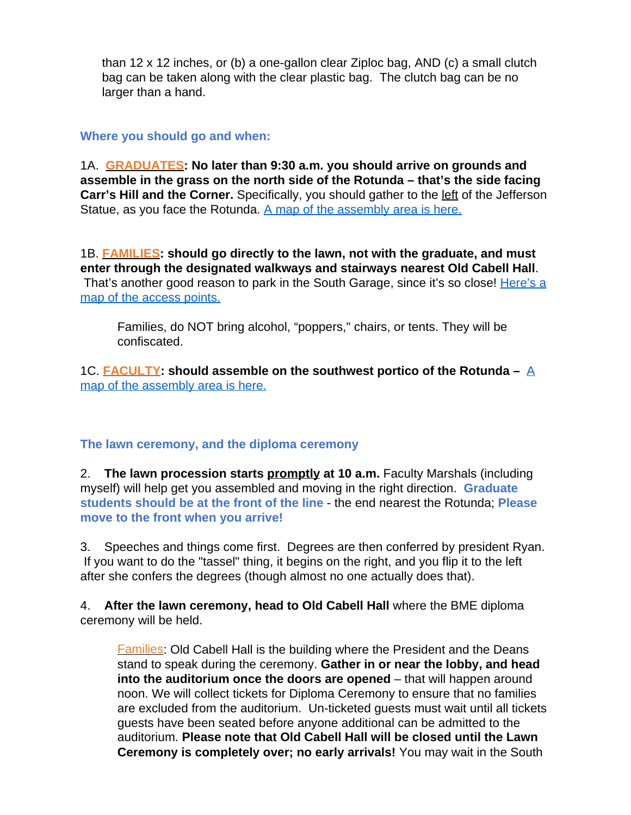than 12 x 12 inches, or (b) a one-gallon clear Ziploc bag, AND (c) a small clutch bag can be taken along with the clear plastic bag. The clutch bag can be no larger than a hand.

### **Where you should go and when:**

1A. **GRADUATES: No later than 9:30 a.m. you should arrive on grounds and assemble in the grass on the north side of the Rotunda – that's the side facing Carr's Hill and the Corner.** Specifically, you should gather to the left of the Jefferson Statue, as you face the Rotunda. [A map of the assembly area is here.](https://majorevents.virginia.edu/sites/majorevents2017.virginia.edu/files/Sunday_Assembly_Areas.pdf)

1B. **FAMILIES: should go directly to the lawn, not with the graduate, and must enter through the designated walkways and stairways nearest Old Cabell Hall**. That's another good reason to park in the South Garage, since it's so close! [Here's a](https://majorevents.virginia.edu/sites/majorevents2017.virginia.edu/files/Finals_Wknd_Lawn_Overview.pdf) [map of the access points.](https://majorevents.virginia.edu/sites/majorevents2017.virginia.edu/files/Finals_Wknd_Lawn_Overview.pdf)

Families, do NOT bring alcohol, "poppers," chairs, or tents. They will be confiscated.

1C. **FACULTY: should assemble on the southwest portico of the Rotunda –** [A](http://majorevents.virginia.edu/sites/majorevents2017.virginia.edu/files/WEB_Sunday_Assembly%20and%20Procession_2018.pdf) [map of the assembly area is here.](http://majorevents.virginia.edu/sites/majorevents2017.virginia.edu/files/WEB_Sunday_Assembly%20and%20Procession_2018.pdf)

## **The lawn ceremony, and the diploma ceremony**

2. **The lawn procession starts promptly at 10 a.m.** Faculty Marshals (including myself) will help get you assembled and moving in the right direction. **Graduate students should be at the front of the line** - the end nearest the Rotunda; **Please move to the front when you arrive!**

3. Speeches and things come first. Degrees are then conferred by president Ryan. If you want to do the "tassel" thing, it begins on the right, and you flip it to the left after she confers the degrees (though almost no one actually does that).

4. **After the lawn ceremony, head to Old Cabell Hall** where the BME diploma ceremony will be held.

Families: Old Cabell Hall is the building where the President and the Deans stand to speak during the ceremony. **Gather in or near the lobby, and head into the auditorium once the doors are opened** – that will happen around noon. We will collect tickets for Diploma Ceremony to ensure that no families are excluded from the auditorium. Un-ticketed guests must wait until all tickets guests have been seated before anyone additional can be admitted to the auditorium. **Please note that Old Cabell Hall will be closed until the Lawn Ceremony is completely over; no early arrivals!** You may wait in the South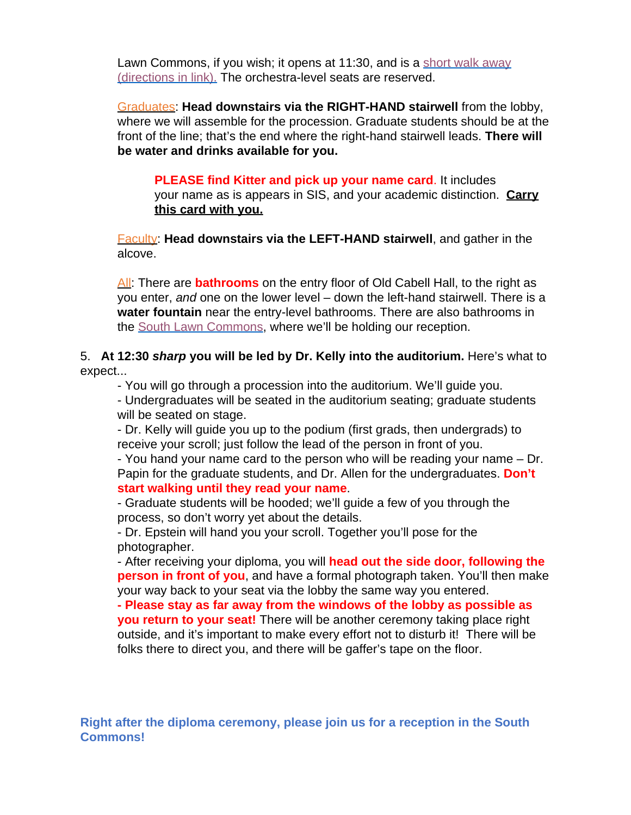Lawn Commons, if you wish; it opens at 11:30, and is a [short walk away](https://www.google.com/maps/dir/38.0329608,-78.5044569/38.0319836,-78.5054965/@38.0325519,-78.5055612,18z/am=t/data=!3m1!4b1!4m2!4m1!3e2) [\(directions in link\).](https://www.google.com/maps/dir/38.0329608,-78.5044569/38.0319836,-78.5054965/@38.0325519,-78.5055612,18z/am=t/data=!3m1!4b1!4m2!4m1!3e2) The orchestra-level seats are reserved.

Graduates: **Head downstairs via the RIGHT-HAND stairwell** from the lobby, where we will assemble for the procession. Graduate students should be at the front of the line; that's the end where the right-hand stairwell leads. **There will be water and drinks available for you.**

**PLEASE find Kitter and pick up your name card**. It includes your name as is appears in SIS, and your academic distinction. **Carry this card with you.**

Faculty: **Head downstairs via the LEFT-HAND stairwell**, and gather in the alcove.

All: There are **bathrooms** on the entry floor of Old Cabell Hall, to the right as you enter, *and* one on the lower level – down the left-hand stairwell. There is a **water fountain** near the entry-level bathrooms. There are also bathrooms in the [South Lawn Commons](https://www.google.com/maps/dir/38.0329608,-78.5044569/38.0319836,-78.5054965/@38.0325519,-78.5055612,18z/am=t/data=!3m1!4b1!4m2!4m1!3e2), where we'll be holding our reception.

## 5. **At 12:30** *sharp* **you will be led by Dr. Kelly into the auditorium.** Here's what to expect...

- You will go through a procession into the auditorium. We'll guide you.

- Undergraduates will be seated in the auditorium seating; graduate students will be seated on stage.

- Dr. Kelly will guide you up to the podium (first grads, then undergrads) to receive your scroll; just follow the lead of the person in front of you.

- You hand your name card to the person who will be reading your name – Dr. Papin for the graduate students, and Dr. Allen for the undergraduates. **Don't start walking until they read your name**.

- Graduate students will be hooded; we'll guide a few of you through the process, so don't worry yet about the details.

- Dr. Epstein will hand you your scroll. Together you'll pose for the photographer.

- After receiving your diploma, you will **head out the side door, following the person in front of you**, and have a formal photograph taken. You'll then make your way back to your seat via the lobby the same way you entered.

**- Please stay as far away from the windows of the lobby as possible as you return to your seat!** There will be another ceremony taking place right outside, and it's important to make every effort not to disturb it! There will be folks there to direct you, and there will be gaffer's tape on the floor.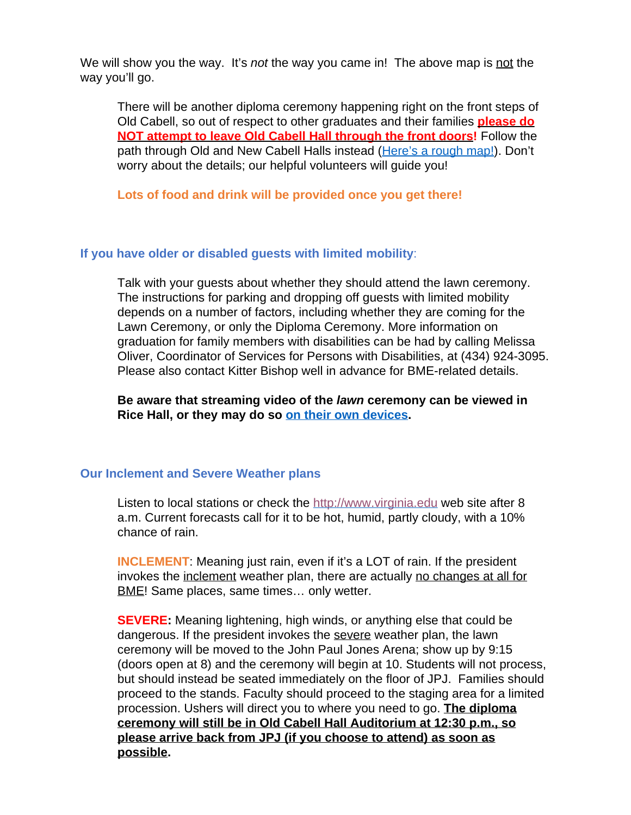We will show you the way. It's *not* the way you came in! The above map is not the way you'll go.

There will be another diploma ceremony happening right on the front steps of Old Cabell, so out of respect to other graduates and their families **please do NOT attempt to leave Old Cabell Hall through the front doors!** Follow the path through Old and New Cabell Halls instead ([Here's a rough map!](https://drive.google.com/open?id=1Y2kPvooZhy5lP4E8ShcvGvdsvfaVvG2N&usp=sharing)). Don't worry about the details; our helpful volunteers will guide you!

**Lots of food and drink will be provided once you get there!**

## **If you have older or disabled guests with limited mobility**:

Talk with your guests about whether they should attend the lawn ceremony. The instructions for parking and dropping off guests with limited mobility depends on a number of factors, including whether they are coming for the Lawn Ceremony, or only the Diploma Ceremony. More information on graduation for family members with disabilities can be had by calling Melissa Oliver, Coordinator of Services for Persons with Disabilities, at (434) 924-3095. Please also contact Kitter Bishop well in advance for BME-related details.

**Be aware that streaming video of the** *lawn* **ceremony can be viewed in Rice Hall, or they may do so [on their own devices](http://www.virginia.edu/live).**

#### **Our Inclement and Severe Weather plans**

Listen to local stations or check the [http://www.virginia.edu](http://www.virginia.edu/) web site after 8 a.m. Current forecasts call for it to be hot, humid, partly cloudy, with a 10% chance of rain.

**INCLEMENT**: Meaning just rain, even if it's a LOT of rain. If the president invokes the inclement weather plan, there are actually no changes at all for **BME!** Same places, same times... only wetter.

**SEVERE:** Meaning lightening, high winds, or anything else that could be dangerous. If the president invokes the severe weather plan, the lawn ceremony will be moved to the John Paul Jones Arena; show up by 9:15 (doors open at 8) and the ceremony will begin at 10. Students will not process, but should instead be seated immediately on the floor of JPJ. Families should proceed to the stands. Faculty should proceed to the staging area for a limited procession. Ushers will direct you to where you need to go. **The diploma ceremony will still be in Old Cabell Hall Auditorium at 12:30 p.m., so please arrive back from JPJ (if you choose to attend) as soon as possible.**